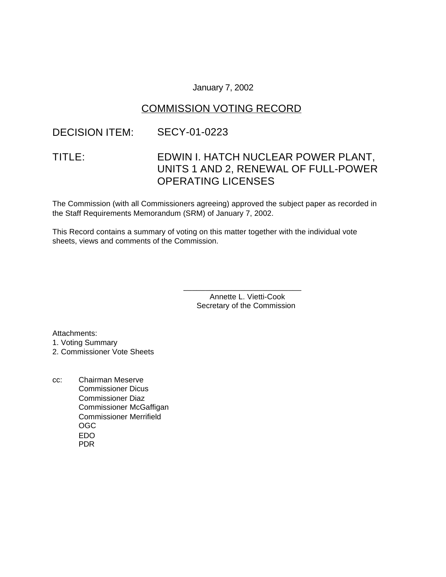### January 7, 2002

### COMMISSION VOTING RECORD

## DECISION ITEM: SECY-01-0223

# TITLE: EDWIN I. HATCH NUCLEAR POWER PLANT, UNITS 1 AND 2, RENEWAL OF FULL-POWER OPERATING LICENSES

The Commission (with all Commissioners agreeing) approved the subject paper as recorded in the Staff Requirements Memorandum (SRM) of January 7, 2002.

This Record contains a summary of voting on this matter together with the individual vote sheets, views and comments of the Commission.

> Annette L. Vietti-Cook Secretary of the Commission

\_\_\_\_\_\_\_\_\_\_\_\_\_\_\_\_\_\_\_\_\_\_\_\_\_\_\_

Attachments:

1. Voting Summary

2. Commissioner Vote Sheets

cc: Chairman Meserve Commissioner Dicus Commissioner Diaz Commissioner McGaffigan Commissioner Merrifield OGC EDO PDR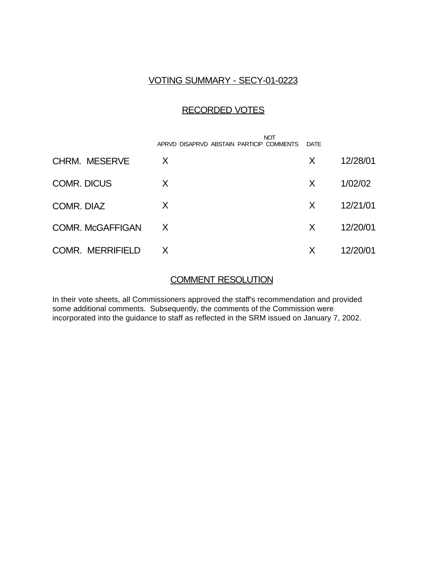### VOTING SUMMARY - SECY-01-0223

### RECORDED VOTES

|                         | <b>NOT</b><br>APRVD DISAPRVD ABSTAIN PARTICIP COMMENTS | DATE |          |
|-------------------------|--------------------------------------------------------|------|----------|
| <b>CHRM. MESERVE</b>    | X                                                      | X    | 12/28/01 |
| <b>COMR. DICUS</b>      | X                                                      | X    | 1/02/02  |
| COMR. DIAZ              | X                                                      | X    | 12/21/01 |
| <b>COMR. McGAFFIGAN</b> | X                                                      | X    | 12/20/01 |
| <b>COMR. MERRIFIELD</b> | X                                                      | X    | 12/20/01 |

### COMMENT RESOLUTION

In their vote sheets, all Commissioners approved the staff's recommendation and provided some additional comments. Subsequently, the comments of the Commission were incorporated into the guidance to staff as reflected in the SRM issued on January 7, 2002.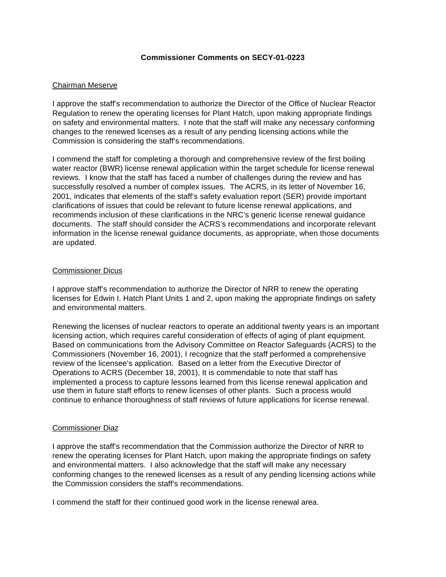#### **Commissioner Comments on SECY-01-0223**

#### Chairman Meserve

I approve the staff's recommendation to authorize the Director of the Office of Nuclear Reactor Regulation to renew the operating licenses for Plant Hatch, upon making appropriate findings on safety and environmental matters. I note that the staff will make any necessary conforming changes to the renewed licenses as a result of any pending licensing actions while the Commission is considering the staff's recommendations.

I commend the staff for completing a thorough and comprehensive review of the first boiling water reactor (BWR) license renewal application within the target schedule for license renewal reviews. I know that the staff has faced a number of challenges during the review and has successfully resolved a number of complex issues. The ACRS, in its letter of November 16, 2001, indicates that elements of the staff's safety evaluation report (SER) provide important clarifications of issues that could be relevant to future license renewal applications, and recommends inclusion of these clarifications in the NRC's generic license renewal guidance documents. The staff should consider the ACRS's recommendations and incorporate relevant information in the license renewal guidance documents, as appropriate, when those documents are updated.

#### Commissioner Dicus

I approve staff's recommendation to authorize the Director of NRR to renew the operating licenses for Edwin I. Hatch Plant Units 1 and 2, upon making the appropriate findings on safety and environmental matters.

Renewing the licenses of nuclear reactors to operate an additional twenty years is an important licensing action, which requires careful consideration of effects of aging of plant equipment. Based on communications from the Advisory Committee on Reactor Safeguards (ACRS) to the Commissioners (November 16, 2001), I recognize that the staff performed a comprehensive review of the licensee's application. Based on a letter from the Executive Director of Operations to ACRS (December 18, 2001), It is commendable to note that staff has implemented a process to capture lessons learned from this license renewal application and use them in future staff efforts to renew licenses of other plants. Such a process would continue to enhance thoroughness of staff reviews of future applications for license renewal.

#### Commissioner Diaz

I approve the staff's recommendation that the Commission authorize the Director of NRR to renew the operating licenses for Plant Hatch, upon making the appropriate findings on safety and environmental matters. I also acknowledge that the staff will make any necessary conforming changes to the renewed licenses as a result of any pending licensing actions while the Commission considers the staff's recommendations.

I commend the staff for their continued good work in the license renewal area.